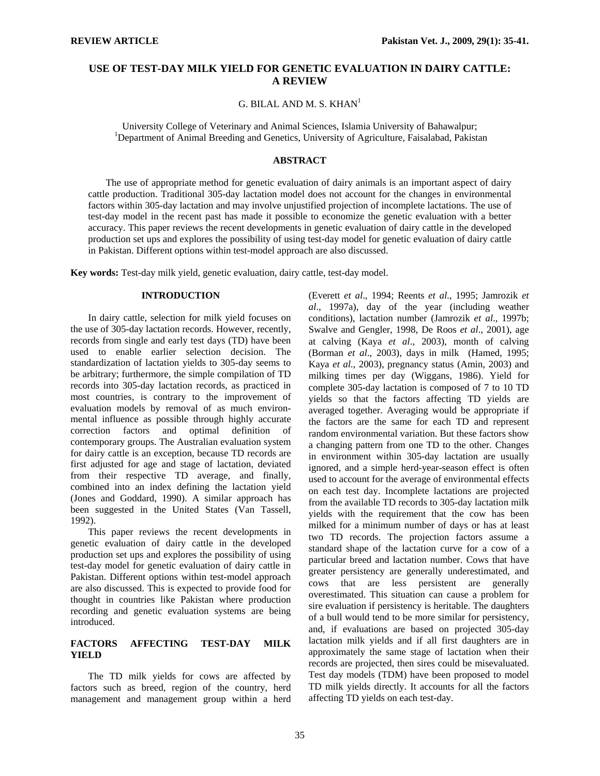## **USE OF TEST-DAY MILK YIELD FOR GENETIC EVALUATION IN DAIRY CATTLE: A REVIEW**

## G. BILAL AND M. S.  $KHAN<sup>1</sup>$

University College of Veterinary and Animal Sciences, Islamia University of Bahawalpur; 1 <sup>1</sup>Department of Animal Breeding and Genetics, University of Agriculture, Faisalabad, Pakistan

## **ABSTRACT**

The use of appropriate method for genetic evaluation of dairy animals is an important aspect of dairy cattle production. Traditional 305-day lactation model does not account for the changes in environmental factors within 305-day lactation and may involve unjustified projection of incomplete lactations. The use of test-day model in the recent past has made it possible to economize the genetic evaluation with a better accuracy. This paper reviews the recent developments in genetic evaluation of dairy cattle in the developed production set ups and explores the possibility of using test-day model for genetic evaluation of dairy cattle in Pakistan. Different options within test-model approach are also discussed.

**Key words:** Test-day milk yield, genetic evaluation, dairy cattle, test-day model.

#### **INTRODUCTION**

In dairy cattle, selection for milk yield focuses on the use of 305-day lactation records. However, recently, records from single and early test days (TD) have been used to enable earlier selection decision. The standardization of lactation yields to 305-day seems to be arbitrary; furthermore, the simple compilation of TD records into 305-day lactation records, as practiced in most countries, is contrary to the improvement of evaluation models by removal of as much environmental influence as possible through highly accurate correction factors and optimal definition of contemporary groups. The Australian evaluation system for dairy cattle is an exception, because TD records are first adjusted for age and stage of lactation, deviated from their respective TD average, and finally, combined into an index defining the lactation yield (Jones and Goddard, 1990). A similar approach has been suggested in the United States (Van Tassell, 1992).

This paper reviews the recent developments in genetic evaluation of dairy cattle in the developed production set ups and explores the possibility of using test-day model for genetic evaluation of dairy cattle in Pakistan. Different options within test-model approach are also discussed. This is expected to provide food for thought in countries like Pakistan where production recording and genetic evaluation systems are being introduced.

# **FACTORS AFFECTING TEST-DAY MILK YIELD**

The TD milk yields for cows are affected by factors such as breed, region of the country, herd management and management group within a herd

(Everett *et al*., 1994; Reents *et al*., 1995; Jamrozik *et al*., 1997a), day of the year (including weather conditions), lactation number (Jamrozik *et al*., 1997b; Swalve and Gengler, 1998, De Roos *et al*., 2001), age at calving (Kaya *et al*., 2003), month of calving (Borman *et al*., 2003), days in milk (Hamed, 1995; Kaya *et al*., 2003), pregnancy status (Amin, 2003) and milking times per day (Wiggans, 1986). Yield for complete 305-day lactation is composed of 7 to 10 TD yields so that the factors affecting TD yields are averaged together. Averaging would be appropriate if the factors are the same for each TD and represent random environmental variation. But these factors show a changing pattern from one TD to the other. Changes in environment within 305-day lactation are usually ignored, and a simple herd-year-season effect is often used to account for the average of environmental effects on each test day. Incomplete lactations are projected from the available TD records to 305-day lactation milk yields with the requirement that the cow has been milked for a minimum number of days or has at least two TD records. The projection factors assume a standard shape of the lactation curve for a cow of a particular breed and lactation number. Cows that have greater persistency are generally underestimated, and cows that are less persistent are generally overestimated. This situation can cause a problem for sire evaluation if persistency is heritable. The daughters of a bull would tend to be more similar for persistency, and, if evaluations are based on projected 305-day lactation milk yields and if all first daughters are in approximately the same stage of lactation when their records are projected, then sires could be misevaluated. Test day models (TDM) have been proposed to model TD milk yields directly. It accounts for all the factors affecting TD yields on each test-day.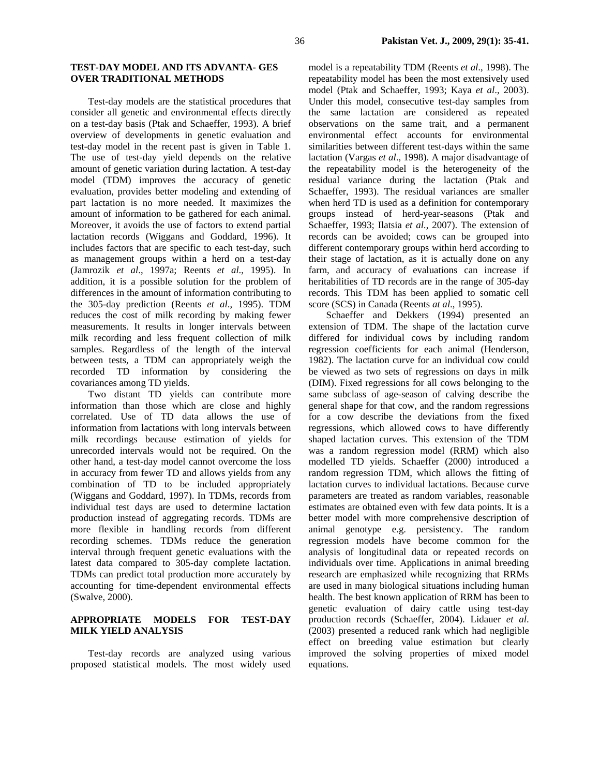### **TEST-DAY MODEL AND ITS ADVANTA- GES OVER TRADITIONAL METHODS**

Test-day models are the statistical procedures that consider all genetic and environmental effects directly on a test-day basis (Ptak and Schaeffer, 1993). A brief overview of developments in genetic evaluation and test-day model in the recent past is given in Table 1. The use of test-day yield depends on the relative amount of genetic variation during lactation. A test-day model (TDM) improves the accuracy of genetic evaluation, provides better modeling and extending of part lactation is no more needed. It maximizes the amount of information to be gathered for each animal. Moreover, it avoids the use of factors to extend partial lactation records (Wiggans and Goddard, 1996). It includes factors that are specific to each test-day, such as management groups within a herd on a test-day (Jamrozik *et al*., 1997a; Reents *et al*., 1995). In addition, it is a possible solution for the problem of differences in the amount of information contributing to the 305-day prediction (Reents *et al*., 1995). TDM reduces the cost of milk recording by making fewer measurements. It results in longer intervals between milk recording and less frequent collection of milk samples. Regardless of the length of the interval between tests, a TDM can appropriately weigh the recorded TD information by considering the covariances among TD yields.

Two distant TD yields can contribute more information than those which are close and highly correlated. Use of TD data allows the use of information from lactations with long intervals between milk recordings because estimation of yields for unrecorded intervals would not be required. On the other hand, a test-day model cannot overcome the loss in accuracy from fewer TD and allows yields from any combination of TD to be included appropriately (Wiggans and Goddard, 1997). In TDMs, records from individual test days are used to determine lactation production instead of aggregating records. TDMs are more flexible in handling records from different recording schemes. TDMs reduce the generation interval through frequent genetic evaluations with the latest data compared to 305-day complete lactation. TDMs can predict total production more accurately by accounting for time-dependent environmental effects (Swalve, 2000).

## **APPROPRIATE MODELS FOR TEST-DAY MILK YIELD ANALYSIS**

Test-day records are analyzed using various proposed statistical models. The most widely used

model is a repeatability TDM (Reents *et al*., 1998). The repeatability model has been the most extensively used model (Ptak and Schaeffer, 1993; Kaya *et al*., 2003). Under this model, consecutive test-day samples from the same lactation are considered as repeated observations on the same trait, and a permanent environmental effect accounts for environmental similarities between different test-days within the same lactation (Vargas *et al*., 1998). A major disadvantage of the repeatability model is the heterogeneity of the residual variance during the lactation (Ptak and Schaeffer, 1993). The residual variances are smaller when herd TD is used as a definition for contemporary groups instead of herd-year-seasons (Ptak and Schaeffer, 1993; Ilatsia *et al*., 2007). The extension of records can be avoided; cows can be grouped into different contemporary groups within herd according to their stage of lactation, as it is actually done on any farm, and accuracy of evaluations can increase if heritabilities of TD records are in the range of 305-day records. This TDM has been applied to somatic cell score (SCS) in Canada (Reents *at al*., 1995).

Schaeffer and Dekkers (1994) presented an extension of TDM. The shape of the lactation curve differed for individual cows by including random regression coefficients for each animal (Henderson, 1982). The lactation curve for an individual cow could be viewed as two sets of regressions on days in milk (DIM). Fixed regressions for all cows belonging to the same subclass of age-season of calving describe the general shape for that cow, and the random regressions for a cow describe the deviations from the fixed regressions, which allowed cows to have differently shaped lactation curves. This extension of the TDM was a random regression model (RRM) which also modelled TD yields. Schaeffer (2000) introduced a random regression TDM, which allows the fitting of lactation curves to individual lactations. Because curve parameters are treated as random variables, reasonable estimates are obtained even with few data points. It is a better model with more comprehensive description of animal genotype e.g. persistency. The random regression models have become common for the analysis of longitudinal data or repeated records on individuals over time. Applications in animal breeding research are emphasized while recognizing that RRMs are used in many biological situations including human health. The best known application of RRM has been to genetic evaluation of dairy cattle using test-day production records (Schaeffer, 2004). Lidauer *et al*. (2003) presented a reduced rank which had negligible effect on breeding value estimation but clearly improved the solving properties of mixed model equations.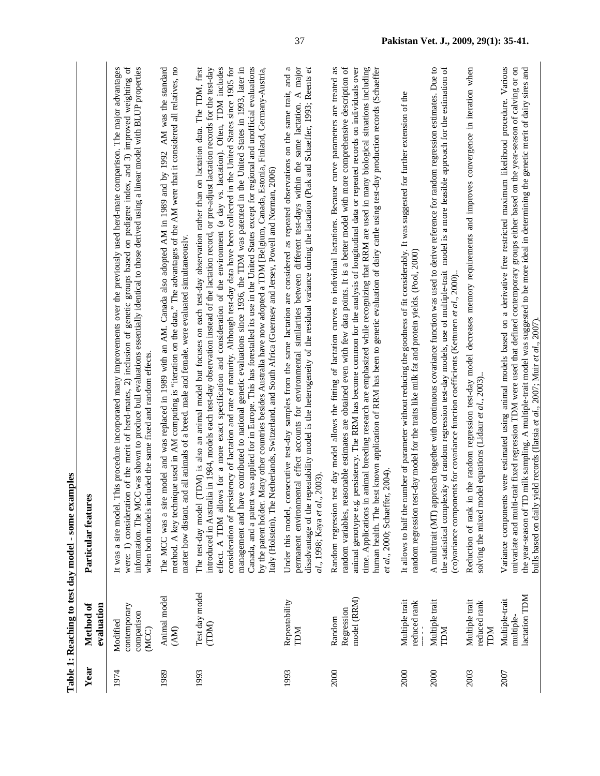|      |                                                 | Table 1: Reaching to test day model - some examples                                                                                                                                                                                                                                                                                                                                                                                                                                                                                                                                                                                                                                                                                                                                                                                                                                                                                                                                                                                                                                                                                                            |
|------|-------------------------------------------------|----------------------------------------------------------------------------------------------------------------------------------------------------------------------------------------------------------------------------------------------------------------------------------------------------------------------------------------------------------------------------------------------------------------------------------------------------------------------------------------------------------------------------------------------------------------------------------------------------------------------------------------------------------------------------------------------------------------------------------------------------------------------------------------------------------------------------------------------------------------------------------------------------------------------------------------------------------------------------------------------------------------------------------------------------------------------------------------------------------------------------------------------------------------|
| Year | evaluation<br>Method of                         | Particular features                                                                                                                                                                                                                                                                                                                                                                                                                                                                                                                                                                                                                                                                                                                                                                                                                                                                                                                                                                                                                                                                                                                                            |
| 1974 | contemporary<br>comparison<br>Modified<br>(MCC) | This procedure incorporated many improvements over the previously used herd-mate comparison. The major advantages<br>were: 1) consideration of the merit of herd-mates, 2) inclusion of genetic groups based on pedigree index, and 3) improved weighting of<br>information. The MCC was shown to produce bull evaluations essentially identical to those derived using a linear model with BLUP properties<br>when both models included the same fixed and random effects.<br>It was a sire model.                                                                                                                                                                                                                                                                                                                                                                                                                                                                                                                                                                                                                                                            |
| 1989 | Animal model<br>(AM)                            | The MCC was a sire model and was replaced in 1989 with an AM. Canada also adopted AM in 1989 and by 1992 AM was the standard<br>method. A key technique used in AM computing is "iteration on the data." The advantages of the AM were that it considered all relatives, no<br>matter how distant, and all animals of a breed, male and female, were evaluated simultaneously.                                                                                                                                                                                                                                                                                                                                                                                                                                                                                                                                                                                                                                                                                                                                                                                 |
| 1993 | Test day model<br>(TDM)                         | consideration of persistency of lactation and rate of maturity. Although test-day data have been collected in the United States since 1905 for<br>effect. A TDM allows for a more exact specification and consideration of the environment (a day vs. lactation). Often, TDM includes<br>management and have contributed to national genetic evaluations since 1936, the TDM was patented in the United States in 1993, later in<br>Canada, and a patent was applied for in Europe. This has forestalled its use in the United States except for regional and unofficial evaluations<br>(TDM) is also an animal model but focuses on each test-day observation rather than on lactation data. The TDM, first<br>introduced in Australia in 1984, models each test-day observation instead of the lactation record, or pre-adjust lactation records for the test-day<br>Many other countries besides Australia have now adopted a TDM [Belgium, Canada, Estonia, Finland, Germany-Austria,<br>Netherlands, Switzerland, and South Africa (Guernsey and Jersey, Powell and Norman, 2006)<br>by the patent holder.<br>Italy (Holstein), The<br>The test-day model |
| 1993 | Repeatability<br><b>NCL</b>                     | Under this model, consecutive test-day samples from the same lactation are considered as repeated observations on the same trait, and a<br>permanent environmental effect accounts for environmental similarities between different test-days within the same lactation. A major<br>disadvantage of the repeatability model is the heterogeneity of the residual variance during the lactation (Ptak and Schaeffer, 1993; Reents et<br>1., 2003).<br>al., 1998; Kaya et al.                                                                                                                                                                                                                                                                                                                                                                                                                                                                                                                                                                                                                                                                                    |
| 2000 | model (RRM)<br>Regression<br>Random             | random variables, reasonable estimates are obtained even with few data points. It is a better model with more comprehensive description of<br>test day model allows the fitting of lactation curves to individual lactations. Because curve parameters are treated as<br>animal genotype e.g. persistency. The RRM has become common for the analysis of longitudinal data or repeated records on individuals over<br>human health. The best known application of RRM has been to genetic evaluation of dairy cattle using test-day production records (Schaeffer<br>time. Applications in animal breeding research are emphasized while recognizing that RRM are used in many biological situations including<br>et al., 2000; Schaeffer, 2004).<br>Random regression                                                                                                                                                                                                                                                                                                                                                                                         |
| 2000 | Multiple trait<br>reduced rank                  | It allows to half the number of parameter without reducing the goodness of fit considerably. It was suggested for further extension of the<br>random regression test-day model for the traits like milk fat and protein yields. (Pool, 2000)                                                                                                                                                                                                                                                                                                                                                                                                                                                                                                                                                                                                                                                                                                                                                                                                                                                                                                                   |
| 2000 | Multiple trait<br>TDM                           | A multitrait (MT) approach together with continuous covariance function was used to derive reference for random regression estimates. Due to<br>the statistical complexity of random regression test-day models, use of multiple-trait model is a more feasible approach for the estimation of<br>(co)variance components for covariance function coefficients (Kettunen et al., 2000).                                                                                                                                                                                                                                                                                                                                                                                                                                                                                                                                                                                                                                                                                                                                                                        |
| 2003 | Multiple trait<br>reduced rank<br><b>NCL</b>    | Reduction of rank in the random regression test-day model decreases memory requirements and improves convergence in iteration when<br>solving the mixed model equations (Lidaur et al., 2003).                                                                                                                                                                                                                                                                                                                                                                                                                                                                                                                                                                                                                                                                                                                                                                                                                                                                                                                                                                 |
| 2007 | lactation TDM<br>Multiple-trait<br>multiple-    | Variance components were estimated using animal models based on a derivative free restricted maximum likelihood procedure. Various<br>univariate and multi-trait fixed regression TDM were used that defined contemporary groups either based on the year-season of calving or on<br>the year-season of TD milk sampling. A multiple-trait model was suggested to be more ideal in determining the genetic merit of dairy sires and<br>yield records (Ilatsia et al., 2007; Muir et al., 2007).<br>bulls based on daily                                                                                                                                                                                                                                                                                                                                                                                                                                                                                                                                                                                                                                        |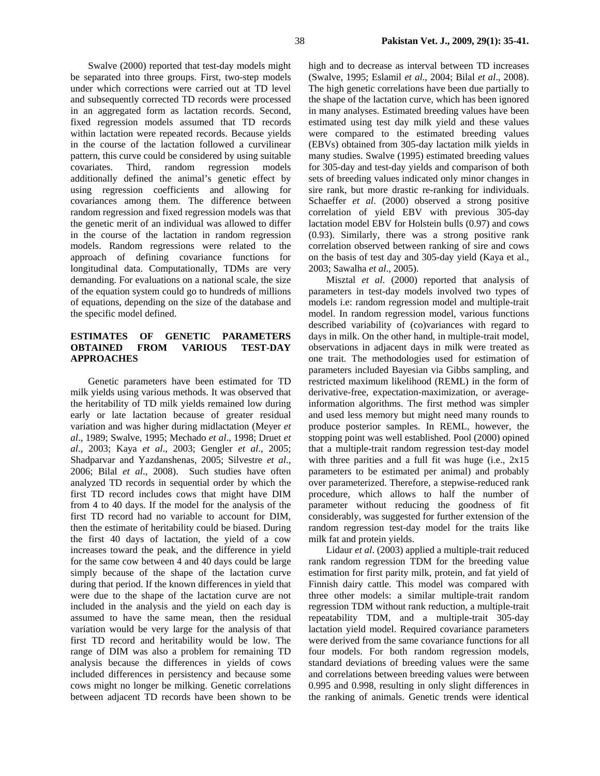Swalve (2000) reported that test-day models might be separated into three groups. First, two-step models under which corrections were carried out at TD level and subsequently corrected TD records were processed in an aggregated form as lactation records. Second, fixed regression models assumed that TD records within lactation were repeated records. Because yields in the course of the lactation followed a curvilinear pattern, this curve could be considered by using suitable covariates. Third, random regression models additionally defined the animal's genetic effect by using regression coefficients and allowing for covariances among them. The difference between random regression and fixed regression models was that the genetic merit of an individual was allowed to differ in the course of the lactation in random regression models. Random regressions were related to the approach of defining covariance functions for longitudinal data. Computationally, TDMs are very demanding. For evaluations on a national scale, the size of the equation system could go to hundreds of millions of equations, depending on the size of the database and the specific model defined.

## **ESTIMATES OF GENETIC PARAMETERS OBTAINED FROM VARIOUS TEST-DAY APPROACHES**

Genetic parameters have been estimated for TD milk yields using various methods. It was observed that the heritability of TD milk yields remained low during early or late lactation because of greater residual variation and was higher during midlactation (Meyer *et al*., 1989; Swalve, 1995; Mechado *et al*., 1998; Druet *et al*., 2003; Kaya *et al*., 2003; Gengler *et al*., 2005; Shadparvar and Yazdanshenas, 2005; Silvestre *et al*., 2006; Bilal *et al*., 2008). Such studies have often analyzed TD records in sequential order by which the first TD record includes cows that might have DIM from 4 to 40 days. If the model for the analysis of the first TD record had no variable to account for DIM, then the estimate of heritability could be biased. During the first 40 days of lactation, the yield of a cow increases toward the peak, and the difference in yield for the same cow between 4 and 40 days could be large simply because of the shape of the lactation curve during that period. If the known differences in yield that were due to the shape of the lactation curve are not included in the analysis and the yield on each day is assumed to have the same mean, then the residual variation would be very large for the analysis of that first TD record and heritability would be low. The range of DIM was also a problem for remaining TD analysis because the differences in yields of cows included differences in persistency and because some cows might no longer be milking. Genetic correlations between adjacent TD records have been shown to be

high and to decrease as interval between TD increases (Swalve, 1995; Eslamil *et al*., 2004; Bilal *et al*., 2008). The high genetic correlations have been due partially to the shape of the lactation curve, which has been ignored in many analyses. Estimated breeding values have been estimated using test day milk yield and these values were compared to the estimated breeding values (EBVs) obtained from 305-day lactation milk yields in many studies. Swalve (1995) estimated breeding values for 305-day and test-day yields and comparison of both sets of breeding values indicated only minor changes in sire rank, but more drastic re-ranking for individuals. Schaeffer *et al*. (2000) observed a strong positive correlation of yield EBV with previous 305-day lactation model EBV for Holstein bulls (0.97) and cows (0.93). Similarly, there was a strong positive rank correlation observed between ranking of sire and cows on the basis of test day and 305-day yield (Kaya et al., 2003; Sawalha *et al*., 2005).

Misztal *et al*. (2000) reported that analysis of parameters in test-day models involved two types of models i.e: random regression model and multiple-trait model. In random regression model, various functions described variability of (co)variances with regard to days in milk. On the other hand, in multiple-trait model, observations in adjacent days in milk were treated as one trait. The methodologies used for estimation of parameters included Bayesian via Gibbs sampling, and restricted maximum likelihood (REML) in the form of derivative-free, expectation-maximization, or averageinformation algorithms. The first method was simpler and used less memory but might need many rounds to produce posterior samples. In REML, however, the stopping point was well established. Pool (2000) opined that a multiple-trait random regression test-day model with three parities and a full fit was huge (i.e., 2x15) parameters to be estimated per animal) and probably over parameterized. Therefore, a stepwise-reduced rank procedure, which allows to half the number of parameter without reducing the goodness of fit considerably, was suggested for further extension of the random regression test-day model for the traits like milk fat and protein yields.

Lidaur *et al*. (2003) applied a multiple-trait reduced rank random regression TDM for the breeding value estimation for first parity milk, protein, and fat yield of Finnish dairy cattle. This model was compared with three other models: a similar multiple-trait random regression TDM without rank reduction, a multiple-trait repeatability TDM, and a multiple-trait 305-day lactation yield model. Required covariance parameters were derived from the same covariance functions for all four models. For both random regression models, standard deviations of breeding values were the same and correlations between breeding values were between 0.995 and 0.998, resulting in only slight differences in the ranking of animals. Genetic trends were identical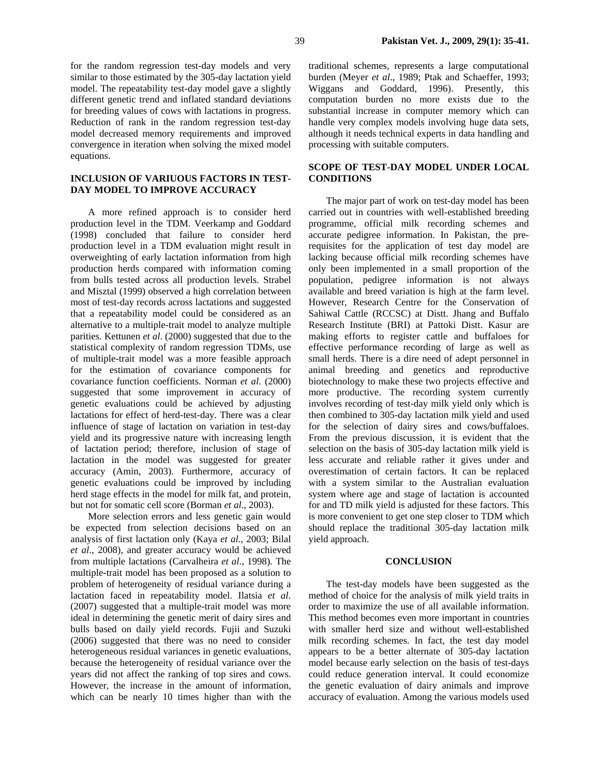for the random regression test-day models and very similar to those estimated by the 305-day lactation yield model. The repeatability test-day model gave a slightly different genetic trend and inflated standard deviations for breeding values of cows with lactations in progress. Reduction of rank in the random regression test-day model decreased memory requirements and improved convergence in iteration when solving the mixed model equations.

#### **INCLUSION OF VARIUOUS FACTORS IN TEST-DAY MODEL TO IMPROVE ACCURACY**

A more refined approach is to consider herd production level in the TDM. Veerkamp and Goddard (1998) concluded that failure to consider herd production level in a TDM evaluation might result in overweighting of early lactation information from high production herds compared with information coming from bulls tested across all production levels. Strabel and Misztal (1999) observed a high correlation between most of test-day records across lactations and suggested that a repeatability model could be considered as an alternative to a multiple-trait model to analyze multiple parities. Kettunen *et al*. (2000) suggested that due to the statistical complexity of random regression TDMs, use of multiple-trait model was a more feasible approach for the estimation of covariance components for covariance function coefficients. Norman *et al*. (2000) suggested that some improvement in accuracy of genetic evaluations could be achieved by adjusting lactations for effect of herd-test-day. There was a clear influence of stage of lactation on variation in test-day yield and its progressive nature with increasing length of lactation period; therefore, inclusion of stage of lactation in the model was suggested for greater accuracy (Amin, 2003). Furthermore, accuracy of genetic evaluations could be improved by including herd stage effects in the model for milk fat, and protein, but not for somatic cell score (Borman *et al*., 2003).

More selection errors and less genetic gain would be expected from selection decisions based on an analysis of first lactation only (Kaya *et al*., 2003; Bilal *et al*., 2008), and greater accuracy would be achieved from multiple lactations (Carvalheira *et al*., 1998). The multiple-trait model has been proposed as a solution to problem of heterogeneity of residual variance during a lactation faced in repeatability model. Ilatsia *et al*. (2007) suggested that a multiple-trait model was more ideal in determining the genetic merit of dairy sires and bulls based on daily yield records. Fujii and Suzuki (2006) suggested that there was no need to consider heterogeneous residual variances in genetic evaluations, because the heterogeneity of residual variance over the years did not affect the ranking of top sires and cows. However, the increase in the amount of information, which can be nearly 10 times higher than with the

traditional schemes, represents a large computational burden (Meyer *et al*., 1989; Ptak and Schaeffer, 1993; Wiggans and Goddard, 1996). Presently, this computation burden no more exists due to the substantial increase in computer memory which can handle very complex models involving huge data sets, although it needs technical experts in data handling and processing with suitable computers.

## **SCOPE OF TEST-DAY MODEL UNDER LOCAL CONDITIONS**

The major part of work on test-day model has been carried out in countries with well-established breeding programme, official milk recording schemes and accurate pedigree information. In Pakistan, the prerequisites for the application of test day model are lacking because official milk recording schemes have only been implemented in a small proportion of the population, pedigree information is not always available and breed variation is high at the farm level. However, Research Centre for the Conservation of Sahiwal Cattle (RCCSC) at Distt. Jhang and Buffalo Research Institute (BRI) at Pattoki Distt. Kasur are making efforts to register cattle and buffaloes for effective performance recording of large as well as small herds. There is a dire need of adept personnel in animal breeding and genetics and reproductive biotechnology to make these two projects effective and more productive. The recording system currently involves recording of test-day milk yield only which is then combined to 305-day lactation milk yield and used for the selection of dairy sires and cows/buffaloes. From the previous discussion, it is evident that the selection on the basis of 305-day lactation milk yield is less accurate and reliable rather it gives under and overestimation of certain factors. It can be replaced with a system similar to the Australian evaluation system where age and stage of lactation is accounted for and TD milk yield is adjusted for these factors. This is more convenient to get one step closer to TDM which should replace the traditional 305-day lactation milk yield approach.

#### **CONCLUSION**

The test-day models have been suggested as the method of choice for the analysis of milk yield traits in order to maximize the use of all available information. This method becomes even more important in countries with smaller herd size and without well-established milk recording schemes. In fact, the test day model appears to be a better alternate of 305-day lactation model because early selection on the basis of test-days could reduce generation interval. It could economize the genetic evaluation of dairy animals and improve accuracy of evaluation. Among the various models used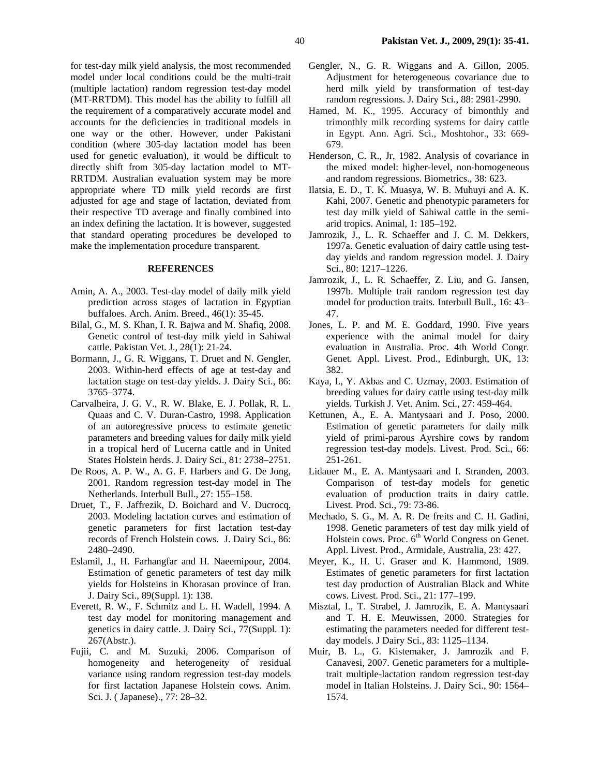for test-day milk yield analysis, the most recommended model under local conditions could be the multi-trait (multiple lactation) random regression test-day model (MT-RRTDM). This model has the ability to fulfill all the requirement of a comparatively accurate model and accounts for the deficiencies in traditional models in one way or the other. However, under Pakistani condition (where 305-day lactation model has been used for genetic evaluation), it would be difficult to directly shift from 305-day lactation model to MT-RRTDM. Australian evaluation system may be more appropriate where TD milk yield records are first adjusted for age and stage of lactation, deviated from their respective TD average and finally combined into an index defining the lactation. It is however, suggested that standard operating procedures be developed to make the implementation procedure transparent.

#### **REFERENCES**

- Amin, A. A., 2003. Test-day model of daily milk yield prediction across stages of lactation in Egyptian buffaloes. Arch. Anim. Breed., 46(1): 35-45.
- Bilal, G., M. S. Khan, I. R. Bajwa and M. Shafiq, 2008. Genetic control of test-day milk yield in Sahiwal cattle. Pakistan Vet. J., 28(1): 21-24.
- Bormann, J., G. R. Wiggans, T. Druet and N. Gengler, 2003. Within-herd effects of age at test-day and lactation stage on test-day yields. J. Dairy Sci., 86: 3765–3774.
- Carvalheira, J. G. V., R. W. Blake, E. J. Pollak, R. L. Quaas and C. V. Duran-Castro, 1998. Application of an autoregressive process to estimate genetic parameters and breeding values for daily milk yield in a tropical herd of Lucerna cattle and in United States Holstein herds. J. Dairy Sci., 81: 2738–2751.
- De Roos, A. P. W., A. G. F. Harbers and G. De Jong, 2001. Random regression test-day model in The Netherlands. Interbull Bull., 27: 155–158.
- Druet, T., F. Jaffrezik, D. Boichard and V. Ducrocq, 2003. Modeling lactation curves and estimation of genetic parameters for first lactation test-day records of French Holstein cows. J. Dairy Sci., 86: 2480–2490.
- Eslamil, J., H. Farhangfar and H. Naeemipour, 2004. Estimation of genetic parameters of test day milk yields for Holsteins in Khorasan province of Iran. J. Dairy Sci., 89(Suppl. 1): 138.
- Everett, R. W., F. Schmitz and L. H. Wadell, 1994. A test day model for monitoring management and genetics in dairy cattle. J. Dairy Sci., 77(Suppl. 1): 267(Abstr.).
- Fujii, C. and M. Suzuki, 2006. Comparison of homogeneity and heterogeneity of residual variance using random regression test-day models for first lactation Japanese Holstein cows. Anim. Sci. J. ( Japanese)., 77: 28–32.
- Gengler, N., G. R. Wiggans and A. Gillon, 2005. Adjustment for heterogeneous covariance due to herd milk yield by transformation of test-day random regressions. J. Dairy Sci., 88: 2981-2990.
- Hamed, M. K., 1995. Accuracy of bimonthly and trimonthly milk recording systems for dairy cattle in Egypt. Ann. Agri. Sci., Moshtohor., 33: 669- 679.
- Henderson, C. R., Jr, 1982. Analysis of covariance in the mixed model: higher-level, non-homogeneous and random regressions. Biometrics., 38: 623.
- Ilatsia, E. D., T. K. Muasya, W. B. Muhuyi and A. K. Kahi, 2007. Genetic and phenotypic parameters for test day milk yield of Sahiwal cattle in the semiarid tropics. Animal, 1: 185–192.
- Jamrozik, J., L. R. Schaeffer and J. C. M. Dekkers, 1997a. Genetic evaluation of dairy cattle using testday yields and random regression model. J. Dairy Sci., 80: 1217–1226.
- Jamrozik, J., L. R. Schaeffer, Z. Liu, and G. Jansen, 1997b. Multiple trait random regression test day model for production traits. Interbull Bull., 16: 43– 47.
- Jones, L. P. and M. E. Goddard, 1990. Five years experience with the animal model for dairy evaluation in Australia. Proc. 4th World Congr. Genet. Appl. Livest. Prod., Edinburgh, UK, 13: 382.
- Kaya, I., Y. Akbas and C. Uzmay, 2003. Estimation of breeding values for dairy cattle using test-day milk yields. Turkish J. Vet. Anim. Sci., 27: 459-464.
- Kettunen, A., E. A. Mantysaari and J. Poso, 2000. Estimation of genetic parameters for daily milk yield of primi-parous Ayrshire cows by random regression test-day models. Livest. Prod. Sci., 66: 251-261.
- Lidauer M., E. A. Mantysaari and I. Stranden, 2003. Comparison of test-day models for genetic evaluation of production traits in dairy cattle. Livest. Prod. Sci., 79: 73-86.
- Mechado, S. G., M. A. R. De freits and C. H. Gadini, 1998. Genetic parameters of test day milk yield of Holstein cows. Proc. 6<sup>th</sup> World Congress on Genet. Appl. Livest. Prod., Armidale, Australia, 23: 427.
- Meyer, K., H. U. Graser and K. Hammond, 1989. Estimates of genetic parameters for first lactation test day production of Australian Black and White cows. Livest. Prod. Sci., 21: 177–199.
- Misztal, I., T. Strabel, J. Jamrozik, E. A. Mantysaari and T. H. E. Meuwissen, 2000. Strategies for estimating the parameters needed for different testday models. J Dairy Sci., 83: 1125–1134.
- Muir, B. L., G. Kistemaker, J. Jamrozik and F. Canavesi, 2007. Genetic parameters for a multipletrait multiple-lactation random regression test-day model in Italian Holsteins. J. Dairy Sci., 90: 1564– 1574.